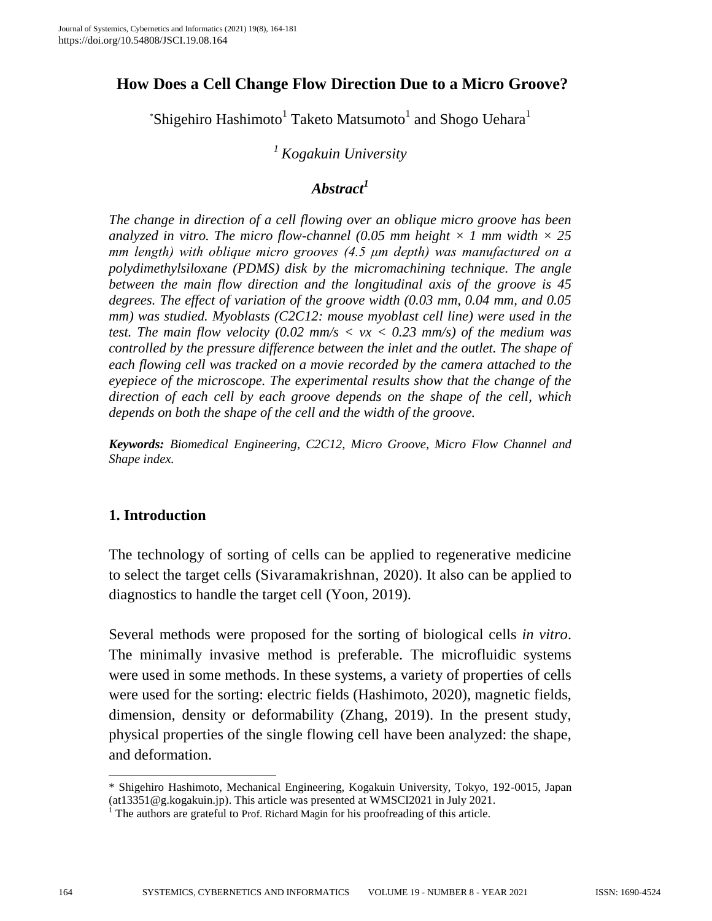# **How Does a Cell Change Flow Direction Due to a Micro Groove?**

 $*$ Shigehiro Hashimoto<sup>1</sup> Taketo Matsumoto<sup>1</sup> and Shogo Uehara<sup>1</sup>

## *<sup>1</sup> Kogakuin University*

# *Abstract<sup>1</sup>*

*The change in direction of a cell flowing over an oblique micro groove has been analyzed in vitro. The micro flow-channel (0.05 mm height*  $\times$  *1 mm width*  $\times$  *25 mm length) with oblique micro grooves (4.5 μm depth) was manufactured on a polydimethylsiloxane (PDMS) disk by the micromachining technique. The angle between the main flow direction and the longitudinal axis of the groove is 45 degrees. The effect of variation of the groove width (0.03 mm, 0.04 mm, and 0.05 mm) was studied. Myoblasts (C2C12: mouse myoblast cell line) were used in the test. The main flow velocity (0.02 mm/s < vx < 0.23 mm/s) of the medium was controlled by the pressure difference between the inlet and the outlet. The shape of each flowing cell was tracked on a movie recorded by the camera attached to the eyepiece of the microscope. The experimental results show that the change of the direction of each cell by each groove depends on the shape of the cell, which depends on both the shape of the cell and the width of the groove.*

*Keywords: Biomedical Engineering, C2C12, Micro Groove, Micro Flow Channel and Shape index.*

## **1. Introduction**

The technology of sorting of cells can be applied to regenerative medicine to select the target cells (Sivaramakrishnan, 2020). It also can be applied to diagnostics to handle the target cell (Yoon, 2019).

Several methods were proposed for the sorting of biological cells *in vitro*. The minimally invasive method is preferable. The microfluidic systems were used in some methods. In these systems, a variety of properties of cells were used for the sorting: electric fields (Hashimoto, 2020), magnetic fields, dimension, density or deformability (Zhang, 2019). In the present study, physical properties of the single flowing cell have been analyzed: the shape, and deformation.

l

<sup>\*</sup> Shigehiro Hashimoto, Mechanical Engineering, Kogakuin University, Tokyo, 192-0015, Japan (at13351@g.kogakuin.jp). This article was presented at WMSCI2021 in July 2021.

<sup>1</sup> The authors are grateful to Prof. Richard Magin for his proofreading of this article.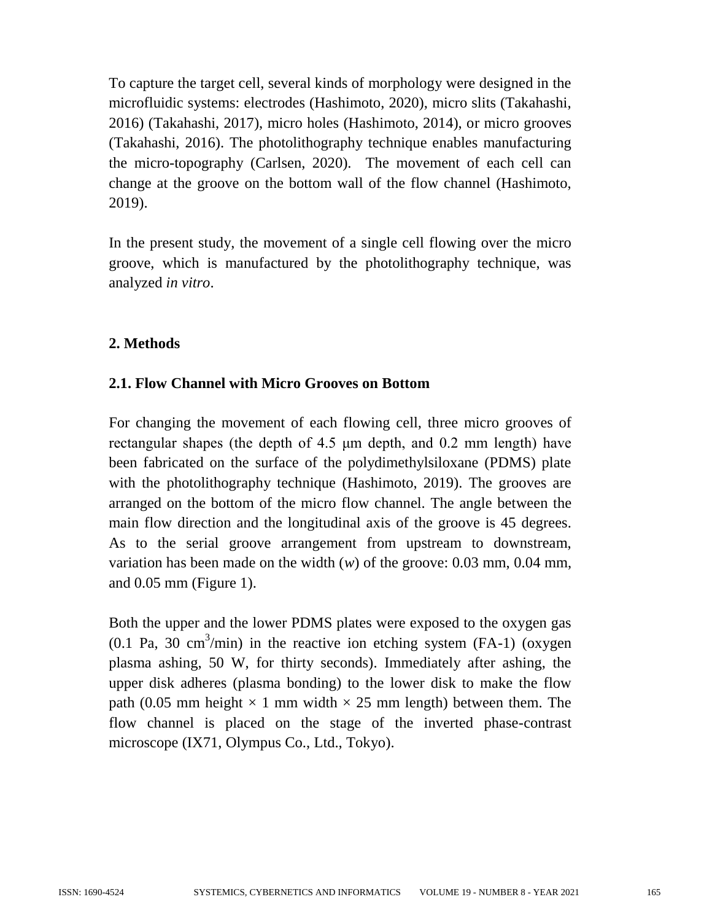To capture the target cell, several kinds of morphology were designed in the microfluidic systems: electrodes (Hashimoto, 2020), micro slits (Takahashi, 2016) (Takahashi, 2017), micro holes (Hashimoto, 2014), or micro grooves (Takahashi, 2016). The photolithography technique enables manufacturing the micro-topography (Carlsen, 2020). The movement of each cell can change at the groove on the bottom wall of the flow channel (Hashimoto, 2019).

In the present study, the movement of a single cell flowing over the micro groove, which is manufactured by the photolithography technique, was analyzed *in vitro*.

### **2. Methods**

### **2.1. Flow Channel with Micro Grooves on Bottom**

For changing the movement of each flowing cell, three micro grooves of rectangular shapes (the depth of 4.5 μm depth, and 0.2 mm length) have been fabricated on the surface of the polydimethylsiloxane (PDMS) plate with the photolithography technique (Hashimoto, 2019). The grooves are arranged on the bottom of the micro flow channel. The angle between the main flow direction and the longitudinal axis of the groove is 45 degrees. As to the serial groove arrangement from upstream to downstream, variation has been made on the width (*w*) of the groove: 0.03 mm, 0.04 mm, and 0.05 mm (Figure 1).

Both the upper and the lower PDMS plates were exposed to the oxygen gas  $(0.1 \text{ Pa}, 30 \text{ cm}^3/\text{min})$  in the reactive ion etching system (FA-1) (oxygen plasma ashing, 50 W, for thirty seconds). Immediately after ashing, the upper disk adheres (plasma bonding) to the lower disk to make the flow path (0.05 mm height  $\times$  1 mm width  $\times$  25 mm length) between them. The flow channel is placed on the stage of the inverted phase-contrast microscope (IX71, Olympus Co., Ltd., Tokyo).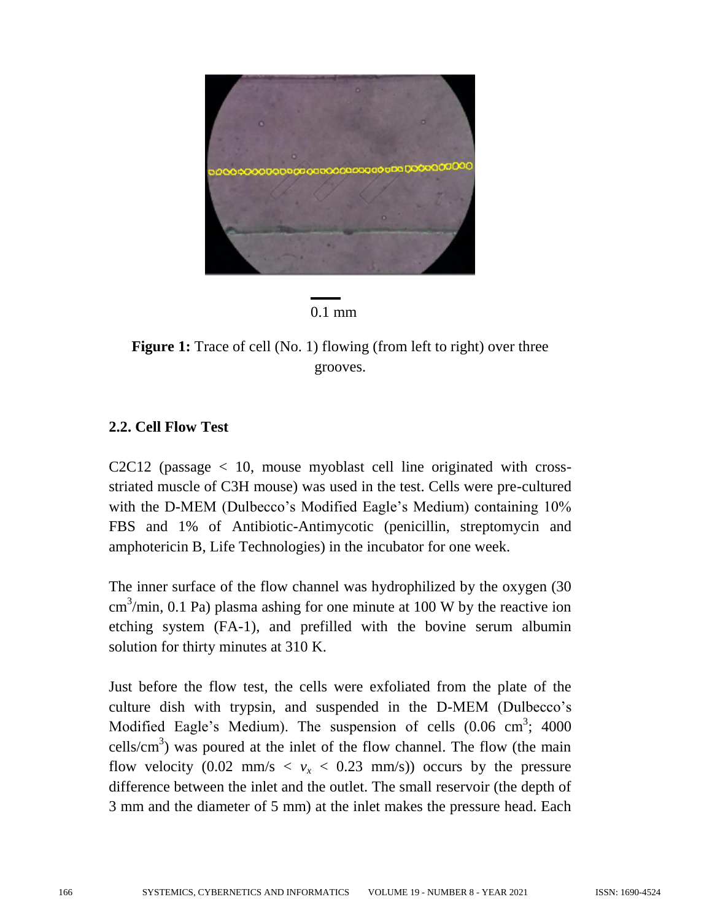



**Figure 1:** Trace of cell (No. 1) flowing (from left to right) over three grooves.

### **2.2. Cell Flow Test**

C2C12 (passage  $\langle 10, \text{ mouse myoblast cell line originated with cross-} \rangle$ striated muscle of C3H mouse) was used in the test. Cells were pre-cultured with the D-MEM (Dulbecco's Modified Eagle's Medium) containing 10% FBS and 1% of Antibiotic-Antimycotic (penicillin, streptomycin and amphotericin B, Life Technologies) in the incubator for one week.

The inner surface of the flow channel was hydrophilized by the oxygen (30  $\text{cm}^3/\text{min}$ , 0.1 Pa) plasma ashing for one minute at 100 W by the reactive ion etching system (FA-1), and prefilled with the bovine serum albumin solution for thirty minutes at 310 K.

Just before the flow test, the cells were exfoliated from the plate of the culture dish with trypsin, and suspended in the D-MEM (Dulbecco's Modified Eagle's Medium). The suspension of cells  $(0.06 \text{ cm}^3; 4000 \text{ m}^3)$ cells/ $\text{cm}^3$ ) was poured at the inlet of the flow channel. The flow (the main flow velocity (0.02 mm/s  $\langle v_x \rangle$  < 0.23 mm/s)) occurs by the pressure difference between the inlet and the outlet. The small reservoir (the depth of 3 mm and the diameter of 5 mm) at the inlet makes the pressure head. Each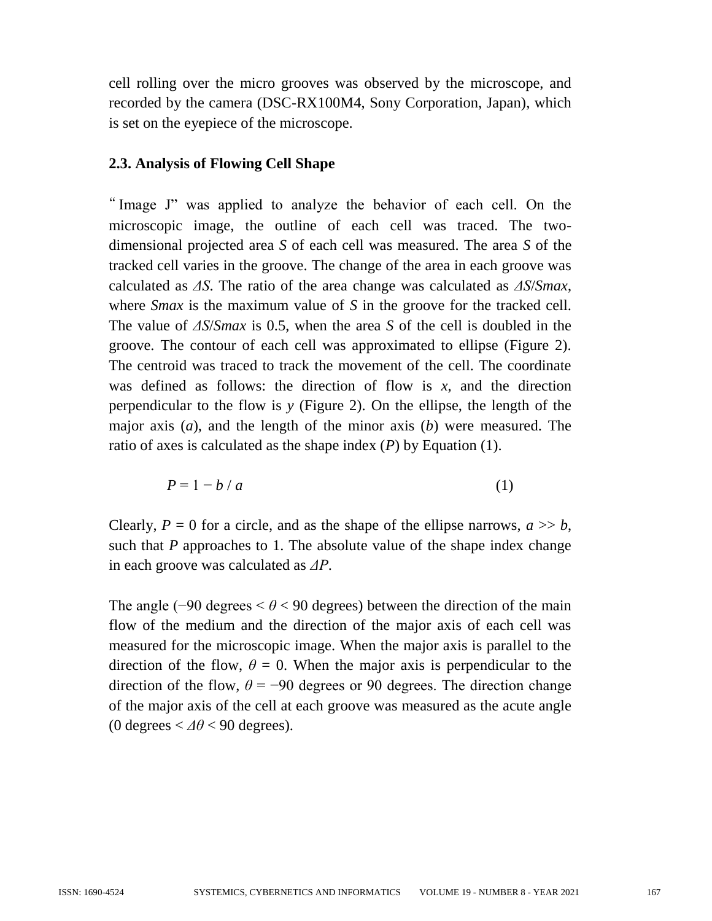cell rolling over the micro grooves was observed by the microscope, and recorded by the camera (DSC-RX100M4, Sony Corporation, Japan), which is set on the eyepiece of the microscope.

### **2.3. Analysis of Flowing Cell Shape**

" Image J" was applied to analyze the behavior of each cell. On the microscopic image, the outline of each cell was traced. The twodimensional projected area *S* of each cell was measured. The area *S* of the tracked cell varies in the groove. The change of the area in each groove was calculated as *ΔS*. The ratio of the area change was calculated as *ΔS*/*Smax*, where *Smax* is the maximum value of *S* in the groove for the tracked cell. The value of *ΔS*/*Smax* is 0.5, when the area *S* of the cell is doubled in the groove. The contour of each cell was approximated to ellipse (Figure 2). The centroid was traced to track the movement of the cell. The coordinate was defined as follows: the direction of flow is *x*, and the direction perpendicular to the flow is *y* (Figure 2). On the ellipse, the length of the major axis (*a*), and the length of the minor axis (*b*) were measured. The ratio of axes is calculated as the shape index (*P*) by Equation (1).

$$
P = 1 - b/a \tag{1}
$$

Clearly,  $P = 0$  for a circle, and as the shape of the ellipse narrows,  $a \gg b$ , such that *P* approaches to 1. The absolute value of the shape index change in each groove was calculated as *ΔP*.

The angle (−90 degrees < *θ* < 90 degrees) between the direction of the main flow of the medium and the direction of the major axis of each cell was measured for the microscopic image. When the major axis is parallel to the direction of the flow,  $\theta = 0$ . When the major axis is perpendicular to the direction of the flow,  $\theta = -90$  degrees or 90 degrees. The direction change of the major axis of the cell at each groove was measured as the acute angle (0 degrees  $<\Delta\theta$  < 90 degrees).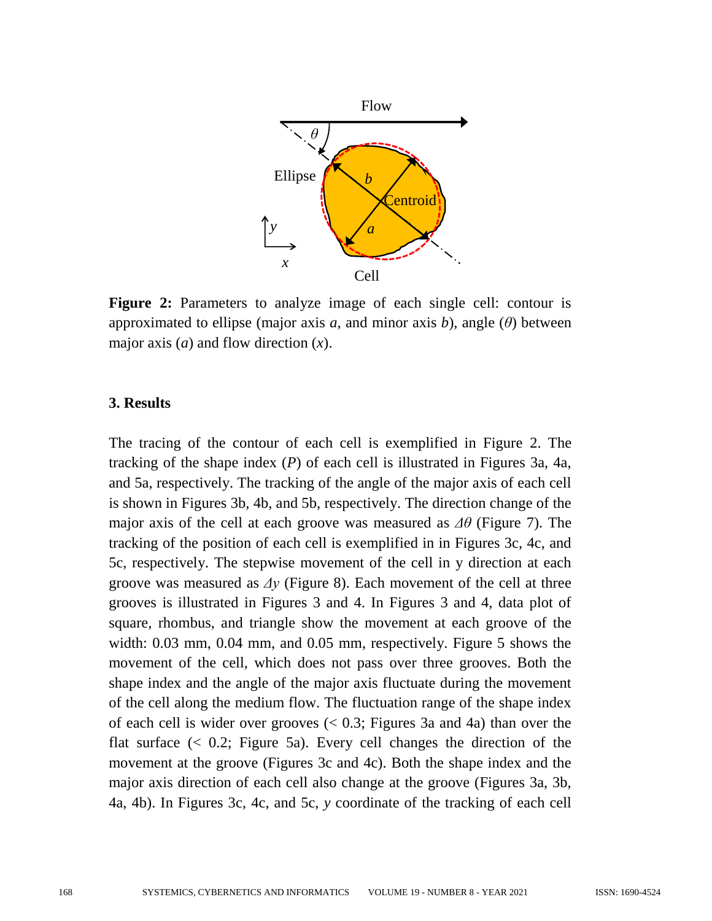

**Figure 2:** Parameters to analyze image of each single cell: contour is approximated to ellipse (major axis *a*, and minor axis *b*), angle (*θ*) between major axis (*a*) and flow direction (*x*).

### **3. Results**

The tracing of the contour of each cell is exemplified in Figure 2. The tracking of the shape index (*P*) of each cell is illustrated in Figures 3a, 4a, and 5a, respectively. The tracking of the angle of the major axis of each cell is shown in Figures 3b, 4b, and 5b, respectively. The direction change of the major axis of the cell at each groove was measured as *Δθ* (Figure 7). The tracking of the position of each cell is exemplified in in Figures 3c, 4c, and 5c, respectively. The stepwise movement of the cell in y direction at each groove was measured as *Δy* (Figure 8). Each movement of the cell at three grooves is illustrated in Figures 3 and 4. In Figures 3 and 4, data plot of square, rhombus, and triangle show the movement at each groove of the width: 0.03 mm, 0.04 mm, and 0.05 mm, respectively. Figure 5 shows the movement of the cell, which does not pass over three grooves. Both the shape index and the angle of the major axis fluctuate during the movement of the cell along the medium flow. The fluctuation range of the shape index of each cell is wider over grooves (< 0.3; Figures 3a and 4a) than over the flat surface  $( $0.2$ ; Figure 5a)$ . Every cell changes the direction of the movement at the groove (Figures 3c and 4c). Both the shape index and the major axis direction of each cell also change at the groove (Figures 3a, 3b, 4a, 4b). In Figures 3c, 4c, and 5c, *y* coordinate of the tracking of each cell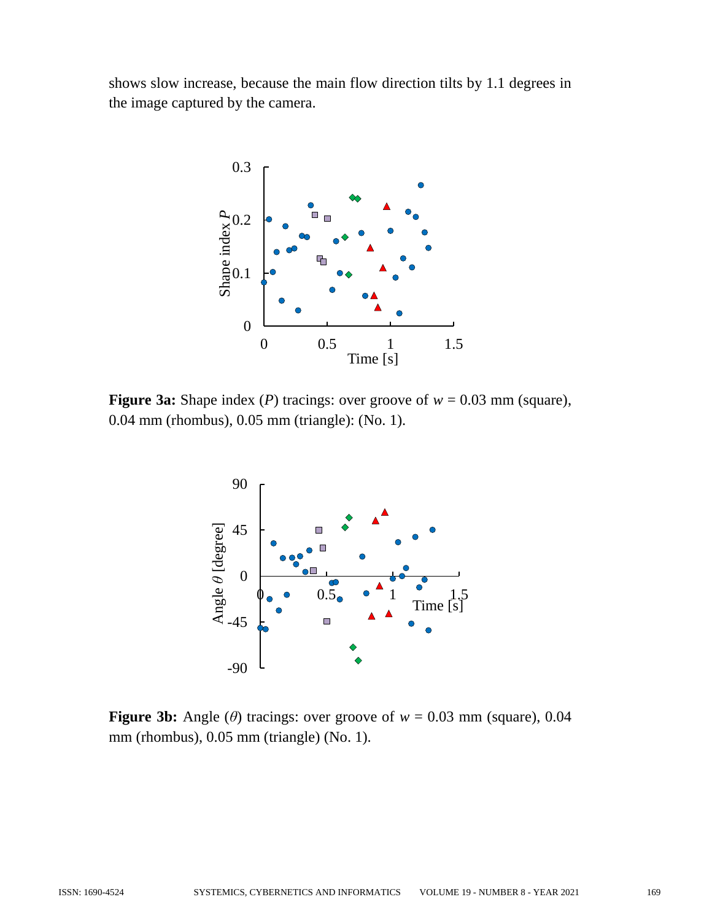shows slow increase, because the main flow direction tilts by 1.1 degrees in the image captured by the camera.



**Figure 3a:** Shape index (*P*) tracings: over groove of  $w = 0.03$  mm (square), 0.04 mm (rhombus), 0.05 mm (triangle): (No. 1).



**Figure 3b:** Angle ( $\theta$ ) tracings: over groove of  $w = 0.03$  mm (square), 0.04 mm (rhombus), 0.05 mm (triangle) (No. 1).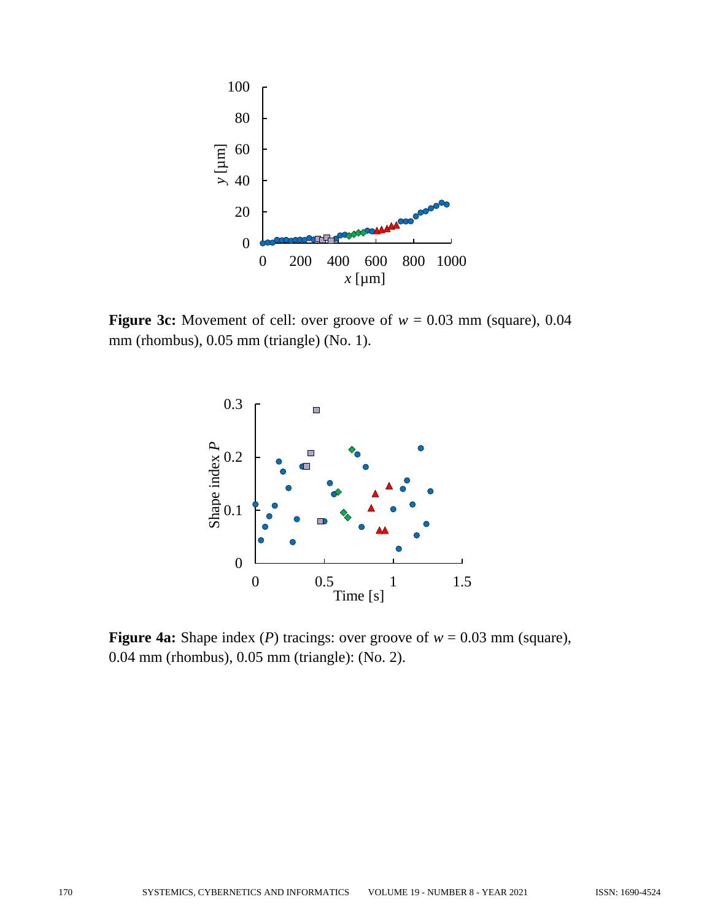

**Figure 3c:** Movement of cell: over groove of  $w = 0.03$  mm (square), 0.04 mm (rhombus), 0.05 mm (triangle) (No. 1).



**Figure 4a:** Shape index (*P*) tracings: over groove of  $w = 0.03$  mm (square), 0.04 mm (rhombus), 0.05 mm (triangle): (No. 2).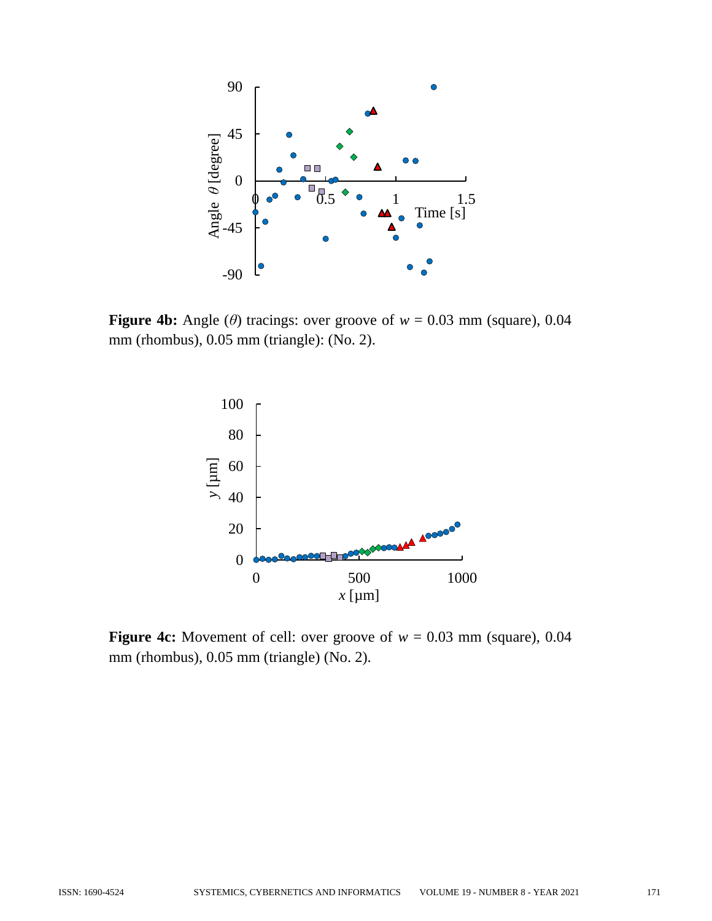

**Figure 4b:** Angle ( $\theta$ ) tracings: over groove of  $w = 0.03$  mm (square), 0.04 mm (rhombus), 0.05 mm (triangle): (No. 2).



**Figure 4c:** Movement of cell: over groove of  $w = 0.03$  mm (square), 0.04 mm (rhombus), 0.05 mm (triangle) (No. 2).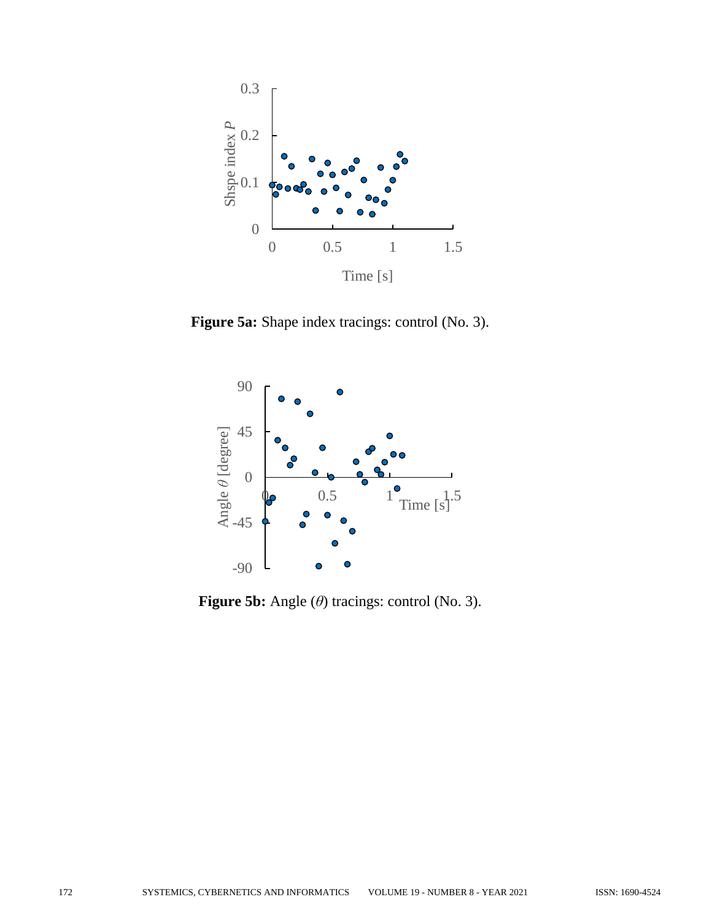

**Figure 5a:** Shape index tracings: control (No. 3).



**Figure 5b:** Angle (*θ*) tracings: control (No. 3).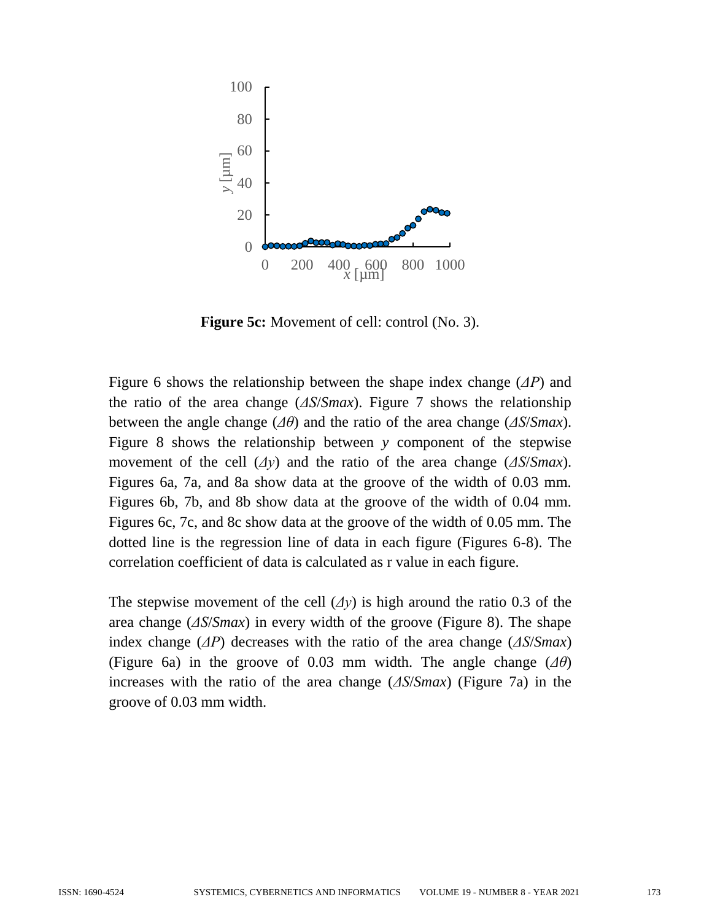

**Figure 5c:** Movement of cell: control (No. 3).

Figure 6 shows the relationship between the shape index change (*ΔP*) and the ratio of the area change (*ΔS*/*Smax*). Figure 7 shows the relationship between the angle change (*Δθ*) and the ratio of the area change (*ΔS*/*Smax*). Figure 8 shows the relationship between *y* component of the stepwise movement of the cell (*Δy*) and the ratio of the area change (*ΔS*/*Smax*). Figures 6a, 7a, and 8a show data at the groove of the width of 0.03 mm. Figures 6b, 7b, and 8b show data at the groove of the width of 0.04 mm. Figures 6c, 7c, and 8c show data at the groove of the width of 0.05 mm. The dotted line is the regression line of data in each figure (Figures 6-8). The correlation coefficient of data is calculated as r value in each figure.

The stepwise movement of the cell  $(\Delta y)$  is high around the ratio 0.3 of the area change (*ΔS*/*Smax*) in every width of the groove (Figure 8). The shape index change (*ΔP*) decreases with the ratio of the area change (*ΔS*/*Smax*) (Figure 6a) in the groove of 0.03 mm width. The angle change (*Δθ*) increases with the ratio of the area change (*ΔS*/*Smax*) (Figure 7a) in the groove of 0.03 mm width.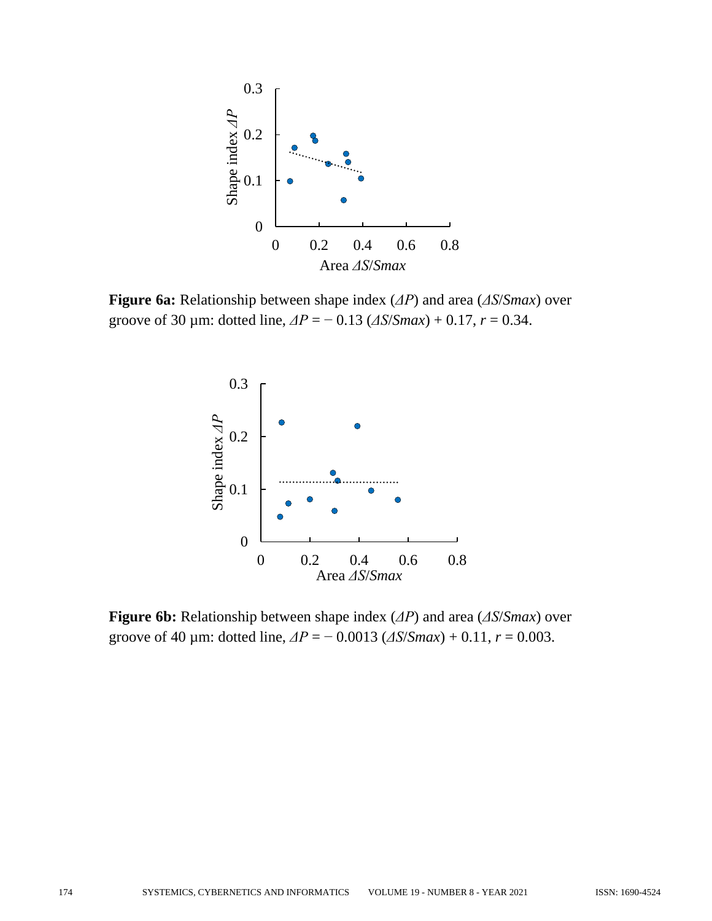

**Figure 6a:** Relationship between shape index (*ΔP*) and area (*ΔS*/*Smax*) over groove of 30 µm: dotted line, *ΔP* = − 0.13 (*ΔS*/*Smax*) + 0.17, *r* = 0.34.



**Figure 6b:** Relationship between shape index (*ΔP*) and area (*ΔS*/*Smax*) over groove of 40 µm: dotted line,  $\Delta P = -0.0013$  ( $\Delta S/Smax$ ) + 0.11,  $r = 0.003$ .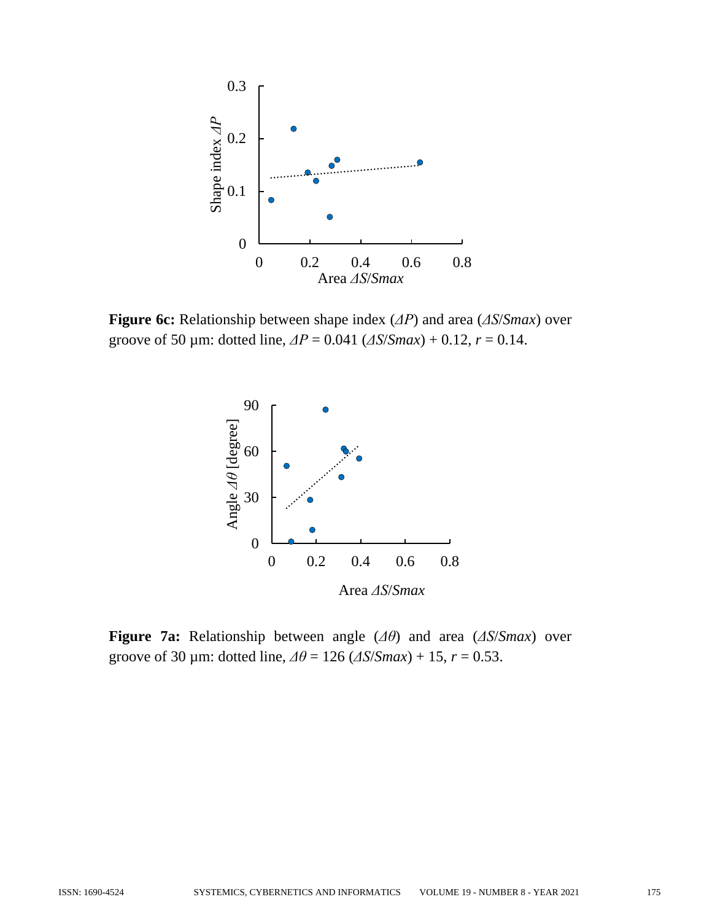

**Figure 6c:** Relationship between shape index (*ΔP*) and area (*ΔS*/*Smax*) over groove of 50 µm: dotted line, *ΔP* = 0.041 (*ΔS*/*Smax*) + 0.12, *r* = 0.14.



**Figure 7a:** Relationship between angle (*Δθ*) and area (*ΔS*/*Smax*) over groove of 30 µm: dotted line,  $\Delta\theta = 126$  ( $\Delta S/Smax$ ) + 15,  $r = 0.53$ .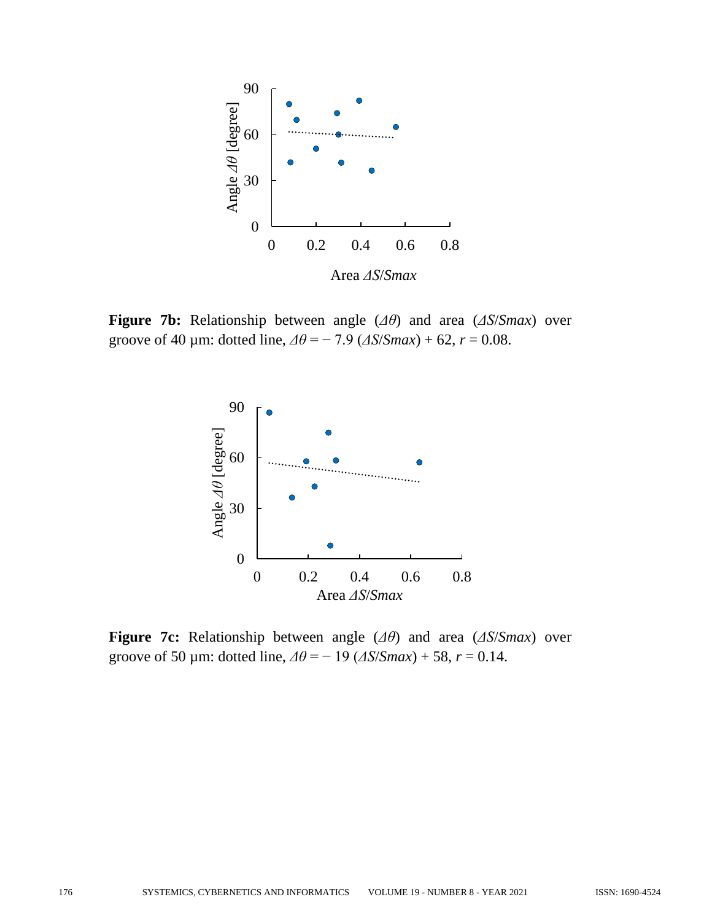

**Figure 7b:** Relationship between angle (*Δθ*) and area (*ΔS*/*Smax*) over groove of 40 µm: dotted line,  $\Delta\theta = -7.9$  ( $\Delta S/Smax$ ) + 62,  $r = 0.08$ .



**Figure 7c:** Relationship between angle (*Δθ*) and area (*ΔS*/*Smax*) over groove of 50 µm: dotted line,  $\Delta\theta = -19$  ( $\Delta S/Smax$ ) + 58,  $r = 0.14$ .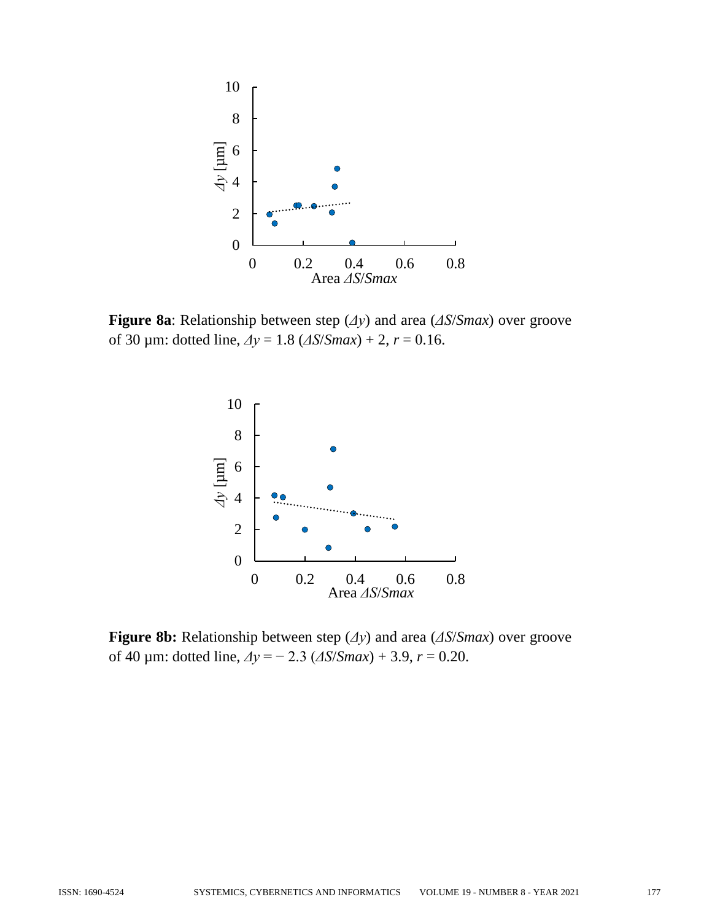

**Figure 8a**: Relationship between step (*Δy*) and area (*ΔS*/*Smax*) over groove of 30 µm: dotted line, *Δy* = 1.8 (*ΔS*/*Smax*) + 2, *r* = 0.16.



**Figure 8b:** Relationship between step (*Δy*) and area (*ΔS*/*Smax*) over groove of 40 µm: dotted line, *Δy* = − 2.3 (*ΔS*/*Smax*) + 3.9, *r* = 0.20.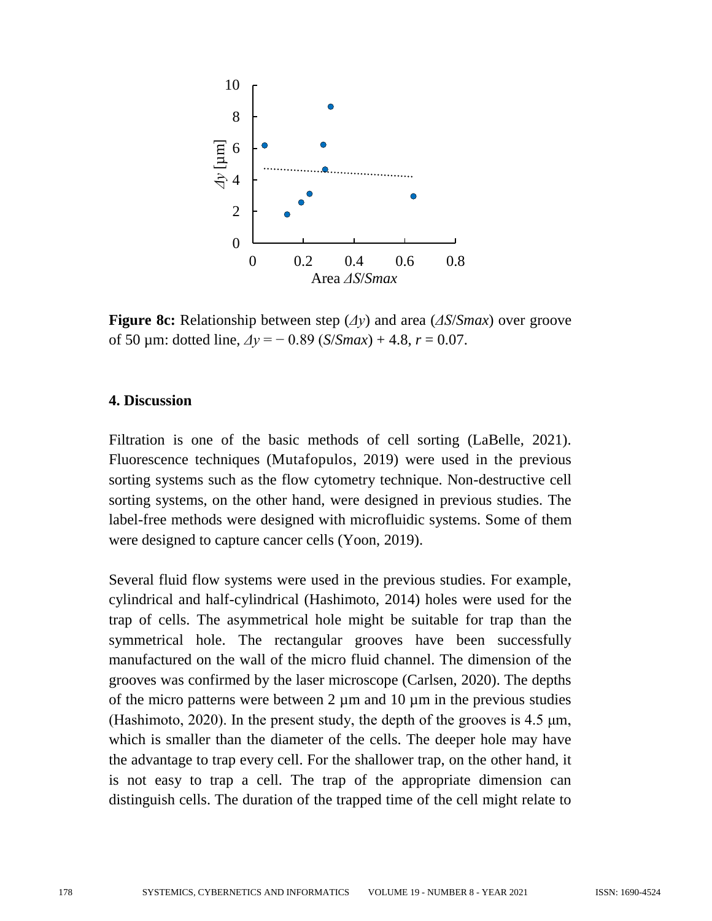

**Figure 8c:** Relationship between step (*Δy*) and area (*ΔS*/*Smax*) over groove of 50 µm: dotted line,  $\Delta y = -0.89$  (*S/Smax*) + 4.8,  $r = 0.07$ .

### **4. Discussion**

Filtration is one of the basic methods of cell sorting (LaBelle, 2021). Fluorescence techniques (Mutafopulos, 2019) were used in the previous sorting systems such as the flow cytometry technique. Non-destructive cell sorting systems, on the other hand, were designed in previous studies. The label-free methods were designed with microfluidic systems. Some of them were designed to capture cancer cells (Yoon, 2019).

Several fluid flow systems were used in the previous studies. For example, cylindrical and half-cylindrical (Hashimoto, 2014) holes were used for the trap of cells. The asymmetrical hole might be suitable for trap than the symmetrical hole. The rectangular grooves have been successfully manufactured on the wall of the micro fluid channel. The dimension of the grooves was confirmed by the laser microscope (Carlsen, 2020). The depths of the micro patterns were between  $2 \mu m$  and  $10 \mu m$  in the previous studies (Hashimoto, 2020). In the present study, the depth of the grooves is 4.5 μm, which is smaller than the diameter of the cells. The deeper hole may have the advantage to trap every cell. For the shallower trap, on the other hand, it is not easy to trap a cell. The trap of the appropriate dimension can distinguish cells. The duration of the trapped time of the cell might relate to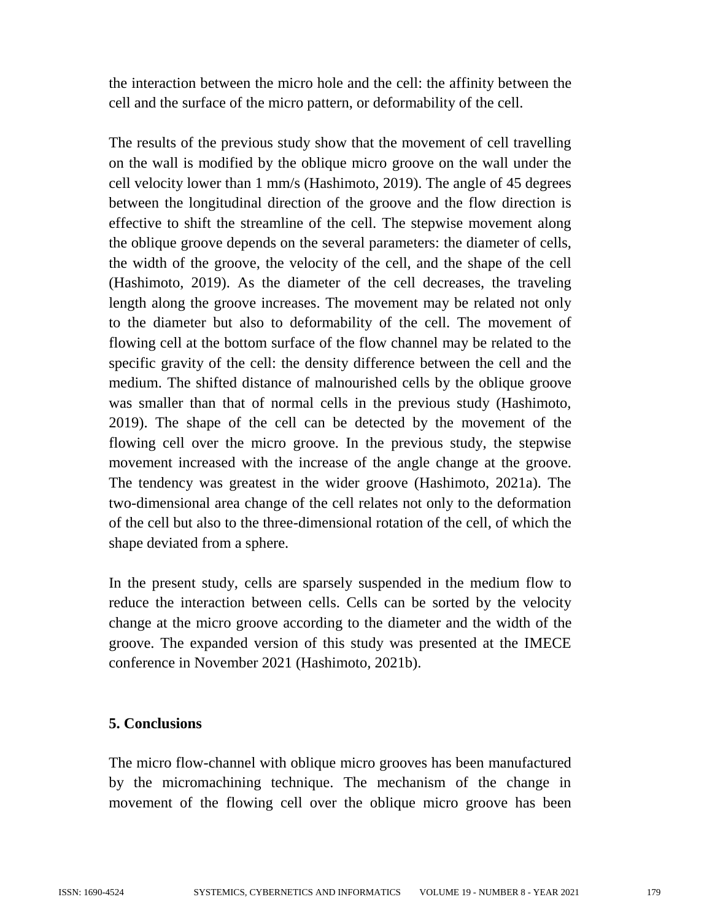the interaction between the micro hole and the cell: the affinity between the cell and the surface of the micro pattern, or deformability of the cell.

The results of the previous study show that the movement of cell travelling on the wall is modified by the oblique micro groove on the wall under the cell velocity lower than 1 mm/s (Hashimoto, 2019). The angle of 45 degrees between the longitudinal direction of the groove and the flow direction is effective to shift the streamline of the cell. The stepwise movement along the oblique groove depends on the several parameters: the diameter of cells, the width of the groove, the velocity of the cell, and the shape of the cell (Hashimoto, 2019). As the diameter of the cell decreases, the traveling length along the groove increases. The movement may be related not only to the diameter but also to deformability of the cell. The movement of flowing cell at the bottom surface of the flow channel may be related to the specific gravity of the cell: the density difference between the cell and the medium. The shifted distance of malnourished cells by the oblique groove was smaller than that of normal cells in the previous study (Hashimoto, 2019). The shape of the cell can be detected by the movement of the flowing cell over the micro groove. In the previous study, the stepwise movement increased with the increase of the angle change at the groove. The tendency was greatest in the wider groove (Hashimoto, 2021a). The two-dimensional area change of the cell relates not only to the deformation of the cell but also to the three-dimensional rotation of the cell, of which the shape deviated from a sphere.

In the present study, cells are sparsely suspended in the medium flow to reduce the interaction between cells. Cells can be sorted by the velocity change at the micro groove according to the diameter and the width of the groove. The expanded version of this study was presented at the IMECE conference in November 2021 (Hashimoto, 2021b).

### **5. Conclusions**

The micro flow-channel with oblique micro grooves has been manufactured by the micromachining technique. The mechanism of the change in movement of the flowing cell over the oblique micro groove has been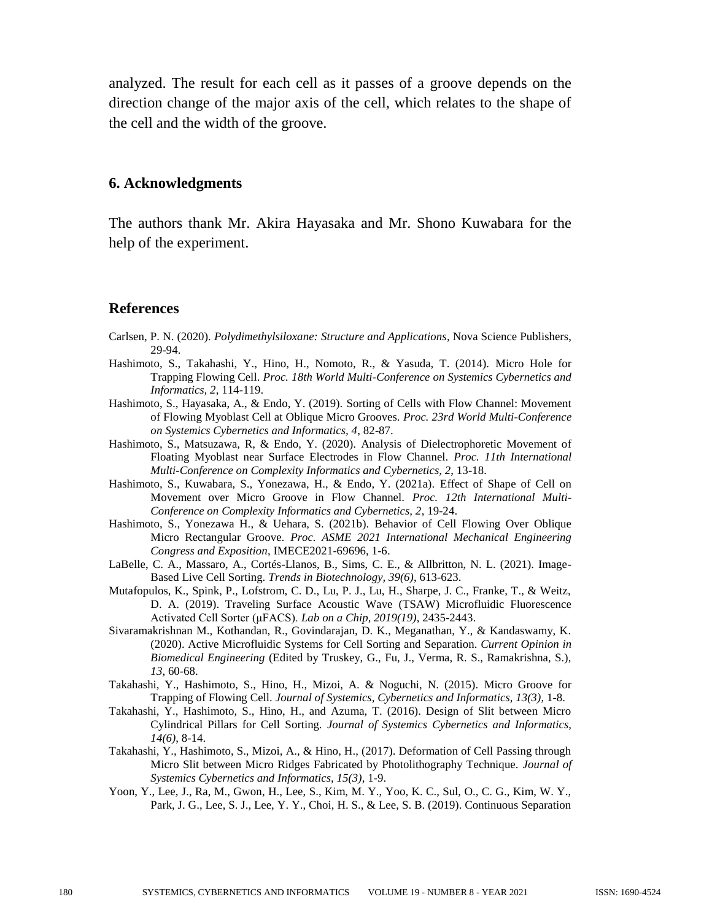analyzed. The result for each cell as it passes of a groove depends on the direction change of the major axis of the cell, which relates to the shape of the cell and the width of the groove.

#### **6. Acknowledgments**

The authors thank Mr. Akira Hayasaka and Mr. Shono Kuwabara for the help of the experiment.

#### **References**

- Carlsen, P. N. (2020). *Polydimethylsiloxane: Structure and Applications*, Nova Science Publishers, 29-94.
- Hashimoto, S., Takahashi, Y., Hino, H., Nomoto, R., & Yasuda, T. (2014). Micro Hole for Trapping Flowing Cell. *Proc. 18th World Multi-Conference on Systemics Cybernetics and Informatics, 2*, 114-119.
- Hashimoto, S., Hayasaka, A., & Endo, Y. (2019). Sorting of Cells with Flow Channel: Movement of Flowing Myoblast Cell at Oblique Micro Grooves. *Proc. 23rd World Multi-Conference on Systemics Cybernetics and Informatics, 4*, 82-87.
- Hashimoto, S., Matsuzawa, R, & Endo, Y. (2020). Analysis of Dielectrophoretic Movement of Floating Myoblast near Surface Electrodes in Flow Channel. *Proc. 11th International Multi-Conference on Complexity Informatics and Cybernetics, 2*, 13-18.
- Hashimoto, S., Kuwabara, S., Yonezawa, H., & Endo, Y. (2021a). Effect of Shape of Cell on Movement over Micro Groove in Flow Channel. *Proc. 12th International Multi-Conference on Complexity Informatics and Cybernetics, 2*, 19-24.
- Hashimoto, S., Yonezawa H., & Uehara, S. (2021b). Behavior of Cell Flowing Over Oblique Micro Rectangular Groove. *Proc. ASME 2021 International Mechanical Engineering Congress and Exposition*, IMECE2021-69696, 1-6.
- LaBelle, C. A., Massaro, A., Cortés-Llanos, B., Sims, C. E., & Allbritton, N. L. (2021). Image-Based Live Cell Sorting. *Trends in Biotechnology, 39(6)*, 613-623.
- Mutafopulos, K., Spink, P., Lofstrom, C. D., Lu, P. J., Lu, H., Sharpe, J. C., Franke, T., & Weitz, D. A. (2019). Traveling Surface Acoustic Wave (TSAW) Microfluidic Fluorescence Activated Cell Sorter (μFACS). *Lab on a Chip, 2019(19)*, 2435-2443.
- Sivaramakrishnan M., Kothandan, R., Govindarajan, D. K., Meganathan, Y., & Kandaswamy, K. (2020). Active Microfluidic Systems for Cell Sorting and Separation. *Current Opinion in Biomedical Engineering* (Edited by Truskey, G., Fu, J., Verma, R. S., Ramakrishna, S.), *13*, 60-68.
- Takahashi, Y., Hashimoto, S., Hino, H., Mizoi, A. & Noguchi, N. (2015). Micro Groove for Trapping of Flowing Cell. *Journal of Systemics, Cybernetics and Informatics, 13(3)*, 1-8.
- Takahashi, Y., Hashimoto, S., Hino, H., and Azuma, T. (2016). Design of Slit between Micro Cylindrical Pillars for Cell Sorting. *Journal of Systemics Cybernetics and Informatics, 14(6)*, 8-14.
- Takahashi, Y., Hashimoto, S., Mizoi, A., & Hino, H., (2017). Deformation of Cell Passing through Micro Slit between Micro Ridges Fabricated by Photolithography Technique. *Journal of Systemics Cybernetics and Informatics, 15(3)*, 1-9.
- Yoon, Y., Lee, J., Ra, M., Gwon, H., Lee, S., Kim, M. Y., Yoo, K. C., Sul, O., C. G., Kim, W. Y., Park, J. G., Lee, S. J., Lee, Y. Y., Choi, H. S., & Lee, S. B. (2019). Continuous Separation